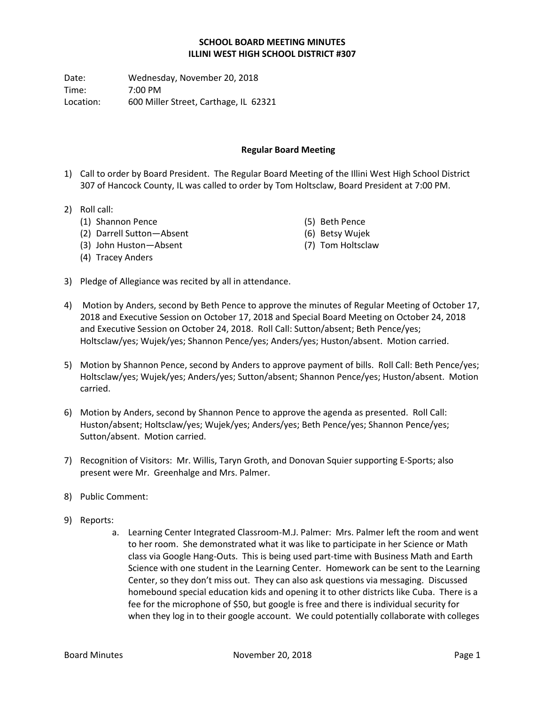## **SCHOOL BOARD MEETING MINUTES ILLINI WEST HIGH SCHOOL DISTRICT #307**

Date: Wednesday, November 20, 2018 Time: 7:00 PM Location: 600 Miller Street, Carthage, IL 62321

## **Regular Board Meeting**

(5) Beth Pence (6) Betsy Wujek (7) Tom Holtsclaw

- 1) Call to order by Board President. The Regular Board Meeting of the Illini West High School District 307 of Hancock County, IL was called to order by Tom Holtsclaw, Board President at 7:00 PM.
- 2) Roll call:
	- (1) Shannon Pence
	- (2) Darrell Sutton—Absent
	- (3) John Huston—Absent
	- (4) Tracey Anders
- 3) Pledge of Allegiance was recited by all in attendance.
- 4) Motion by Anders, second by Beth Pence to approve the minutes of Regular Meeting of October 17, 2018 and Executive Session on October 17, 2018 and Special Board Meeting on October 24, 2018 and Executive Session on October 24, 2018. Roll Call: Sutton/absent; Beth Pence/yes; Holtsclaw/yes; Wujek/yes; Shannon Pence/yes; Anders/yes; Huston/absent. Motion carried.
- 5) Motion by Shannon Pence, second by Anders to approve payment of bills. Roll Call: Beth Pence/yes; Holtsclaw/yes; Wujek/yes; Anders/yes; Sutton/absent; Shannon Pence/yes; Huston/absent. Motion carried.
- 6) Motion by Anders, second by Shannon Pence to approve the agenda as presented. Roll Call: Huston/absent; Holtsclaw/yes; Wujek/yes; Anders/yes; Beth Pence/yes; Shannon Pence/yes; Sutton/absent. Motion carried.
- 7) Recognition of Visitors: Mr. Willis, Taryn Groth, and Donovan Squier supporting E-Sports; also present were Mr. Greenhalge and Mrs. Palmer.
- 8) Public Comment:
- 9) Reports:
	- a. Learning Center Integrated Classroom-M.J. Palmer: Mrs. Palmer left the room and went to her room. She demonstrated what it was like to participate in her Science or Math class via Google Hang-Outs. This is being used part-time with Business Math and Earth Science with one student in the Learning Center. Homework can be sent to the Learning Center, so they don't miss out. They can also ask questions via messaging. Discussed homebound special education kids and opening it to other districts like Cuba. There is a fee for the microphone of \$50, but google is free and there is individual security for when they log in to their google account. We could potentially collaborate with colleges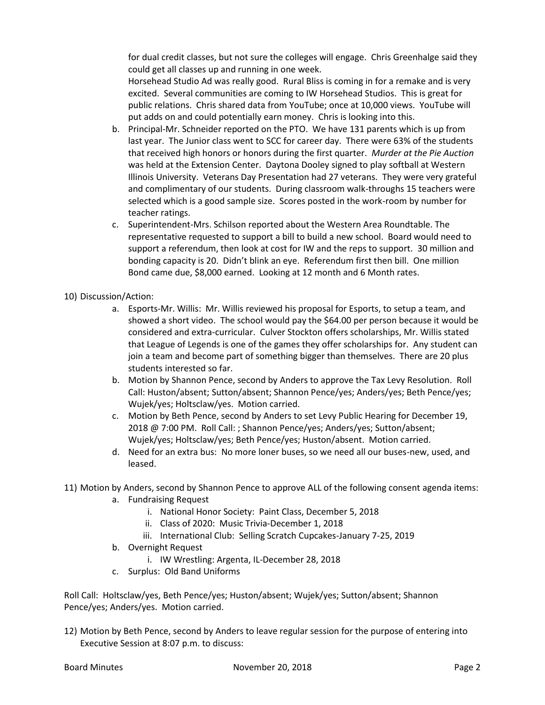for dual credit classes, but not sure the colleges will engage. Chris Greenhalge said they could get all classes up and running in one week.

Horsehead Studio Ad was really good. Rural Bliss is coming in for a remake and is very excited. Several communities are coming to IW Horsehead Studios. This is great for public relations. Chris shared data from YouTube; once at 10,000 views. YouTube will put adds on and could potentially earn money. Chris is looking into this.

- b. Principal-Mr. Schneider reported on the PTO. We have 131 parents which is up from last year. The Junior class went to SCC for career day. There were 63% of the students that received high honors or honors during the first quarter. *Murder at the Pie Auction* was held at the Extension Center. Daytona Dooley signed to play softball at Western Illinois University. Veterans Day Presentation had 27 veterans. They were very grateful and complimentary of our students. During classroom walk-throughs 15 teachers were selected which is a good sample size. Scores posted in the work-room by number for teacher ratings.
- c. Superintendent-Mrs. Schilson reported about the Western Area Roundtable. The representative requested to support a bill to build a new school. Board would need to support a referendum, then look at cost for IW and the reps to support. 30 million and bonding capacity is 20. Didn't blink an eye. Referendum first then bill. One million Bond came due, \$8,000 earned. Looking at 12 month and 6 Month rates.
- 10) Discussion/Action:
	- a. Esports-Mr. Willis: Mr. Willis reviewed his proposal for Esports, to setup a team, and showed a short video. The school would pay the \$64.00 per person because it would be considered and extra-curricular. Culver Stockton offers scholarships, Mr. Willis stated that League of Legends is one of the games they offer scholarships for. Any student can join a team and become part of something bigger than themselves. There are 20 plus students interested so far.
	- b. Motion by Shannon Pence, second by Anders to approve the Tax Levy Resolution. Roll Call: Huston/absent; Sutton/absent; Shannon Pence/yes; Anders/yes; Beth Pence/yes; Wujek/yes; Holtsclaw/yes. Motion carried.
	- c. Motion by Beth Pence, second by Anders to set Levy Public Hearing for December 19, 2018 @ 7:00 PM. Roll Call: ; Shannon Pence/yes; Anders/yes; Sutton/absent; Wujek/yes; Holtsclaw/yes; Beth Pence/yes; Huston/absent. Motion carried.
	- d. Need for an extra bus: No more loner buses, so we need all our buses-new, used, and leased.
- 11) Motion by Anders, second by Shannon Pence to approve ALL of the following consent agenda items:
	- a. Fundraising Request
		- i. National Honor Society: Paint Class, December 5, 2018
		- ii. Class of 2020: Music Trivia-December 1, 2018
		- iii. International Club: Selling Scratch Cupcakes-January 7-25, 2019
	- b. Overnight Request
		- i. IW Wrestling: Argenta, IL-December 28, 2018
	- c. Surplus: Old Band Uniforms

Roll Call: Holtsclaw/yes, Beth Pence/yes; Huston/absent; Wujek/yes; Sutton/absent; Shannon Pence/yes; Anders/yes. Motion carried.

12) Motion by Beth Pence, second by Anders to leave regular session for the purpose of entering into Executive Session at 8:07 p.m. to discuss: